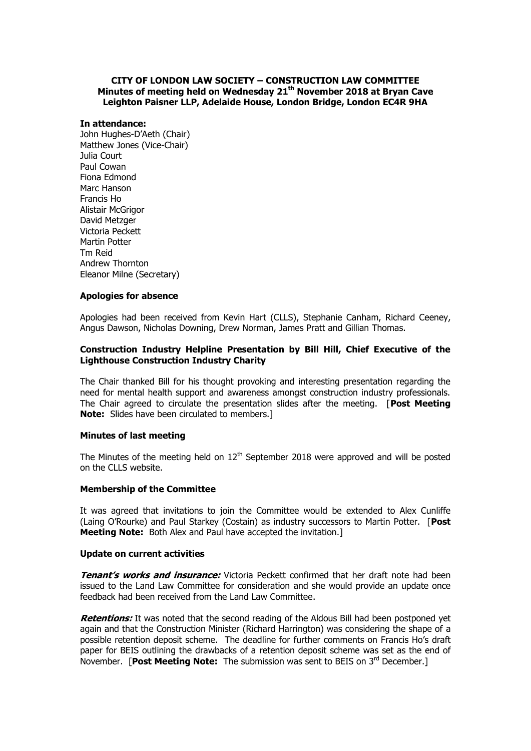# **CITY OF LONDON LAW SOCIETY – CONSTRUCTION LAW COMMITTEE Minutes of meeting held on Wednesday 21th November 2018 at Bryan Cave Leighton Paisner LLP, Adelaide House, London Bridge, London EC4R 9HA**

#### **In attendance:**

John Hughes-D'Aeth (Chair) Matthew Jones (Vice-Chair) Julia Court Paul Cowan Fiona Edmond Marc Hanson Francis Ho Alistair McGrigor David Metzger Victoria Peckett Martin Potter Tm Reid Andrew Thornton Eleanor Milne (Secretary)

### **Apologies for absence**

Apologies had been received from Kevin Hart (CLLS), Stephanie Canham, Richard Ceeney, Angus Dawson, Nicholas Downing, Drew Norman, James Pratt and Gillian Thomas.

## **Construction Industry Helpline Presentation by Bill Hill, Chief Executive of the Lighthouse Construction Industry Charity**

The Chair thanked Bill for his thought provoking and interesting presentation regarding the need for mental health support and awareness amongst construction industry professionals. The Chair agreed to circulate the presentation slides after the meeting. [**Post Meeting Note:** Slides have been circulated to members.]

### **Minutes of last meeting**

The Minutes of the meeting held on  $12<sup>th</sup>$  September 2018 were approved and will be posted on the CLLS website.

### **Membership of the Committee**

It was agreed that invitations to join the Committee would be extended to Alex Cunliffe (Laing O'Rourke) and Paul Starkey (Costain) as industry successors to Martin Potter. [**Post Meeting Note:** Both Alex and Paul have accepted the invitation.]

#### **Update on current activities**

**Tenant's works and insurance:** Victoria Peckett confirmed that her draft note had been issued to the Land Law Committee for consideration and she would provide an update once feedback had been received from the Land Law Committee.

**Retentions:** It was noted that the second reading of the Aldous Bill had been postponed yet again and that the Construction Minister (Richard Harrington) was considering the shape of a possible retention deposit scheme. The deadline for further comments on Francis Ho's draft paper for BEIS outlining the drawbacks of a retention deposit scheme was set as the end of November. **[Post Meeting Note:** The submission was sent to BEIS on 3<sup>rd</sup> December.]